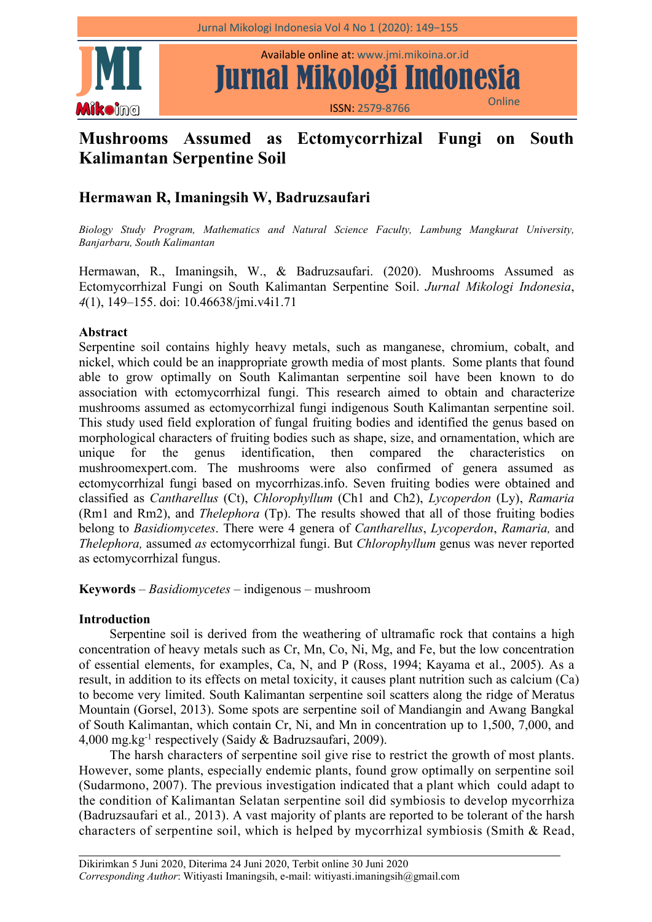

Available online at: www.jmi.mikoina.or.id

ISSN: 2579-8766 Online

# **Mushrooms Assumed as Ectomycorrhizal Fungi on South Kalimantan Serpentine Soil**

# **Hermawan R, Imaningsih W, Badruzsaufari**

*Biology Study Program, Mathematics and Natural Science Faculty, Lambung Mangkurat University, Banjarbaru, South Kalimantan*

Hermawan, R., Imaningsih, W., & Badruzsaufari. (2020). Mushrooms Assumed as Ectomycorrhizal Fungi on South Kalimantan Serpentine Soil. *Jurnal Mikologi Indonesia*, *4*(1), 149–155. doi: 10.46638/jmi.v4i1.71

### **Abstract**

Serpentine soil contains highly heavy metals, such as manganese, chromium, cobalt, and nickel, which could be an inappropriate growth media of most plants. Some plants that found able to grow optimally on South Kalimantan serpentine soil have been known to do association with ectomycorrhizal fungi. This research aimed to obtain and characterize mushrooms assumed as ectomycorrhizal fungi indigenous South Kalimantan serpentine soil. This study used field exploration of fungal fruiting bodies and identified the genus based on morphological characters of fruiting bodies such as shape, size, and ornamentation, which are unique for the genus identification, then compared the characteristics on mushroomexpert.com. The mushrooms were also confirmed of genera assumed as ectomycorrhizal fungi based on mycorrhizas.info. Seven fruiting bodies were obtained and classified as *Cantharellus* (Ct), *Chlorophyllum* (Ch1 andCh2), *Lycoperdon* (Ly), *Ramaria* (Rm1 and Rm2), and *Thelephora* (Tp). The results showed that all of those fruiting bodies belong to *Basidiomycetes*. There were 4 genera of *Cantharellus*, *Lycoperdon*, *Ramaria,* and *Thelephora,* assumed *as* ectomycorrhizal fungi. But *Chlorophyllum* genus was never reported as ectomycorrhizal fungus.

**Keywords** – *Basidiomycetes* – indigenous – mushroom

# **Introduction**

Serpentine soil is derived from the weathering of ultramafic rock that contains a high concentration of heavy metals such as Cr, Mn, Co, Ni, Mg, and Fe, but the low concentration of essential elements, for examples, Ca, N, and P (Ross, 1994; Kayama et al., 2005). As a result, in addition to its effects on metal toxicity, it causes plant nutrition such as calcium (Ca) to become very limited. South Kalimantan serpentine soil scatters along the ridge of Meratus Mountain (Gorsel, 2013). Some spots are serpentine soil of Mandiangin and Awang Bangkal of South Kalimantan, which contain Cr, Ni, and Mn in concentration up to 1,500, 7,000, and 4,000 mg.kg -1 respectively (Saidy & Badruzsaufari, 2009).

The harsh characters of serpentine soil give rise to restrict the growth of most plants. However, some plants, especially endemic plants, found grow optimally on serpentine soil (Sudarmono, 2007). The previous investigation indicated that a plant which could adapt to the condition of Kalimantan Selatan serpentine soil did symbiosis to develop mycorrhiza (Badruzsaufari et al*.,* 2013). A vast majority of plants are reported to be tolerant of the harsh characters of serpentine soil, which is helped by mycorrhizal symbiosis (Smith & Read,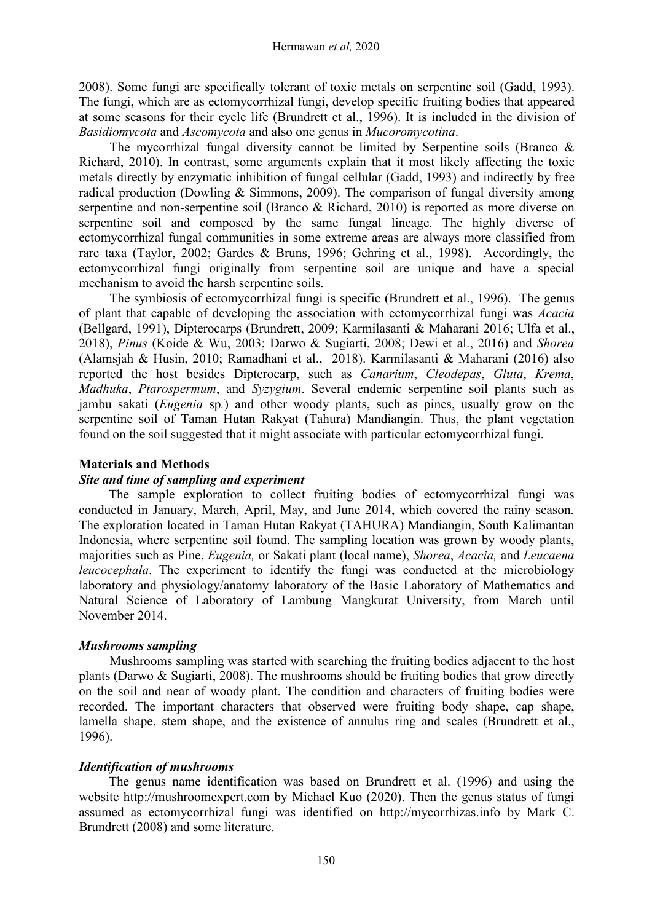2008). Some fungi are specifically tolerant of toxic metals on serpentine soil (Gadd, 1993). The fungi, which are as ectomycorrhizal fungi, develop specific fruiting bodies that appeared at some seasons for their cycle life (Brundrett et al., 1996). It is included in the division of *Basidiomycota* and *Ascomycota* and also one genus in *Mucoromycotina*.

The mycorrhizal fungal diversity cannot be limited by Serpentine soils (Branco & Richard, 2010). In contrast, some arguments explain that it most likely affecting the toxic metals directly by enzymatic inhibition of fungal cellular (Gadd, 1993) and indirectly by free radical production (Dowling & Simmons, 2009). The comparison of fungal diversity among serpentine and non-serpentine soil (Branco & Richard, 2010) is reported as more diverse on serpentine soil and composed by the same fungal lineage. The highly diverse of ectomycorrhizal fungal communities in some extreme areas are always more classified from rare taxa (Taylor,2002; Gardes & Bruns, 1996; Gehring et al., 1998). Accordingly, the ectomycorrhizal fungi originally from serpentine soil are unique and have a special mechanism to avoid the harsh serpentine soils.

The symbiosis of ectomycorrhizal fungi is specific (Brundrett et al., 1996). The genus of plant that capable of developing the association with ectomycorrhizal fungi was *Acacia* (Bellgard, 1991), Dipterocarps (Brundrett, 2009; Karmilasanti & Maharani 2016; Ulfa et al., 2018), *Pinus* (Koide & Wu, 2003; Darwo & Sugiarti, 2008; Dewi et al., 2016) and *Shorea* (Alamsjah & Husin, 2010; Ramadhani et al., 2018). Karmilasanti & Maharani (2016) also reported the host besides Dipterocarp, such as *Canarium*, *Cleodepas*, *Gluta*, *Krema*, *Madhuka*, *Ptarospermum*, and *Syzygium*. Several endemic serpentine soil plants such as jambu sakati (*Eugenia* sp*.*) and other woody plants, such as pines, usually grow on the serpentine soil of Taman Hutan Rakyat (Tahura) Mandiangin. Thus, the plant vegetation found on the soil suggested that it might associate with particular ectomycorrhizal fungi.

#### **Materials and Methods**

#### *Site and time ofsampling and experiment*

The sample exploration to collect fruiting bodies of ectomycorrhizal fungi was conducted in January, March, April, May, and June 2014, which covered the rainy season. The exploration located in Taman Hutan Rakyat (TAHURA) Mandiangin, South Kalimantan Indonesia, where serpentine soil found. The sampling location was grown by woody plants, majorities such as Pine, *Eugenia,* or Sakati plant (local name), *Shorea*, *Acacia,* and *Leucaena leucocephala*. The experiment to identify the fungi was conducted at the microbiology laboratory and physiology/anatomy laboratory of the Basic Laboratory of Mathematics and Natural Science of Laboratory of Lambung Mangkurat University, from March until November 2014.

#### *Mushrooms sampling*

Mushrooms sampling was started with searching the fruiting bodies adjacent to the host plants (Darwo & Sugiarti,2008). The mushrooms should be fruiting bodies that grow directly on the soil and near of woody plant. The condition and characters of fruiting bodies were recorded. The important characters that observed were fruiting body shape, cap shape, lamella shape, stem shape, and the existence of annulus ring and scales (Brundrett et al., 1996).

#### *Identification of mushrooms*

The genus name identification was based on Brundrett et al. (1996) and using the website <http://mushroomexpert.com> by Michael Kuo (2020). Then the genus status of fungi assumed as ectomycorrhizal fungi was identified on http://mycorrhizas.info by Mark C. Brundrett (2008) and some literature.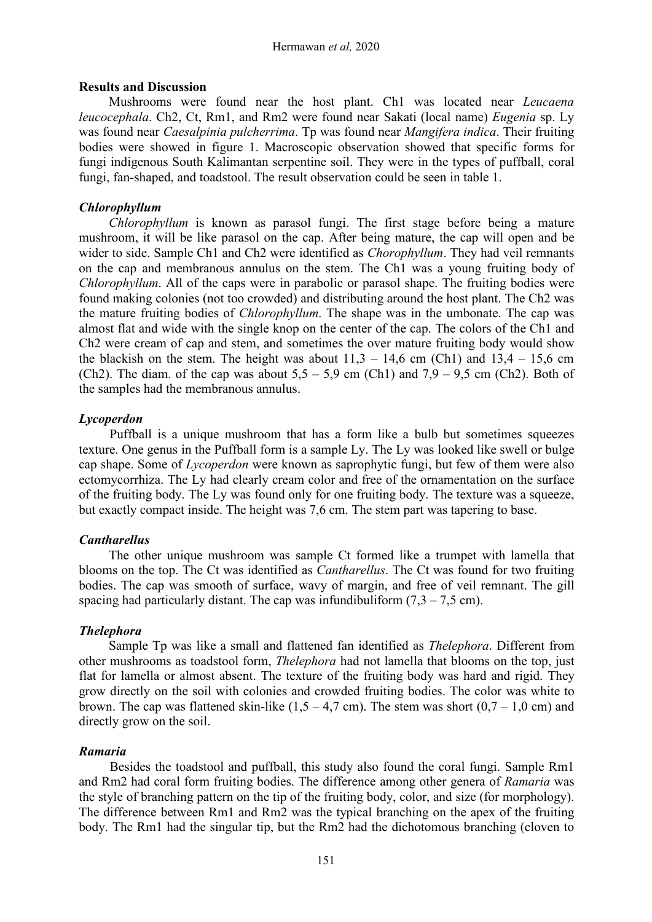#### **Results and Discussion**

Mushrooms were found near the host plant. Ch1 was located near *Leucaena leucocephala*. Ch2, Ct, Rm1, and Rm2 were found near Sakati (local name) *Eugenia* sp. Ly was found near *Caesalpinia pulcherrima*. Tp was found near *Mangifera indica*. Their fruiting bodies were showed in figure 1. Macroscopic observation showed that specific forms for fungi indigenous South Kalimantan serpentine soil. They were in the types of puffball, coral fungi, fan-shaped, and toadstool. The result observation could be seen in table 1.

#### *Chlorophyllum*

*Chlorophyllum* is known as parasol fungi. The first stage before being a mature mushroom, it will be like parasol on the cap. After being mature, the cap will open and be wider to side. Sample Ch1 and Ch2 were identified as *Chorophyllum*. They had veil remnants on the cap and membranous annulus on the stem. The Ch1 was a young fruiting body of *Chlorophyllum*. All of the caps were in parabolic or parasol shape. The fruiting bodies were found making colonies (not too crowded) and distributing around the host plant. The Ch2 was the mature fruiting bodies of *Chlorophyllum*. The shape was in the umbonate. The cap was almost flat and wide with the single knop on the center of the cap. The colors of the Ch1 and Ch2 were cream of cap and stem, and sometimes the over mature fruiting body would show the blackish on the stem. The height was about  $11.3 - 14.6$  cm (Ch1) and  $13.4 - 15.6$  cm (Ch2). The diam. of the cap was about  $5.5 - 5.9$  cm (Ch1) and  $7.9 - 9.5$  cm (Ch2). Both of the samples had the membranous annulus.

#### *Lycoperdon*

Puffball is a unique mushroom that has a form like a bulb but sometimes squeezes texture. One genus in the Puffball form is a sample Ly. The Ly was looked like swell or bulge cap shape. Some of *Lycoperdon* were known as saprophytic fungi, but few of them were also ectomycorrhiza. The Ly had clearly cream color and free of the ornamentation on the surface of the fruiting body. The Ly was found only for one fruiting body. The texture was a squeeze, but exactly compact inside. The height was 7,6 cm. The stem part was tapering to base.

#### *Cantharellus*

The other unique mushroom was sample Ct formed like a trumpet with lamella that blooms on the top. The Ct was identified as *Cantharellus*. The Ct was found for two fruiting bodies. The cap was smooth of surface, wavy of margin, and free of veil remnant. The gill spacing had particularly distant. The cap was infundibuliform  $(7,3 - 7,5$  cm).

# *Thelephora*

Sample Tp was like a small and flattened fan identified as *Thelephora*. Different from other mushrooms as toadstool form, *Thelephora* had not lamella that blooms on the top, just flat for lamella or almost absent. The texture of the fruiting body was hard and rigid. They grow directly on the soil with colonies and crowded fruiting bodies. The color was white to brown. The cap was flattened skin-like  $(1,5 - 4,7)$  cm. The stem was short  $(0,7 - 1,0)$  cm and directly grow on the soil.

#### *Ramaria*

Besides the toadstool and puffball, this study also found the coral fungi. Sample Rm1 and Rm2 had coral form fruiting bodies. The difference among other genera of *Ramaria* was the style of branching pattern on the tip of the fruiting body, color, and size (for morphology). The difference between Rm1 and Rm2 was the typical branching on the apex of the fruiting body. The Rm1 had the singular tip, but the Rm2 had the dichotomous branching (cloven to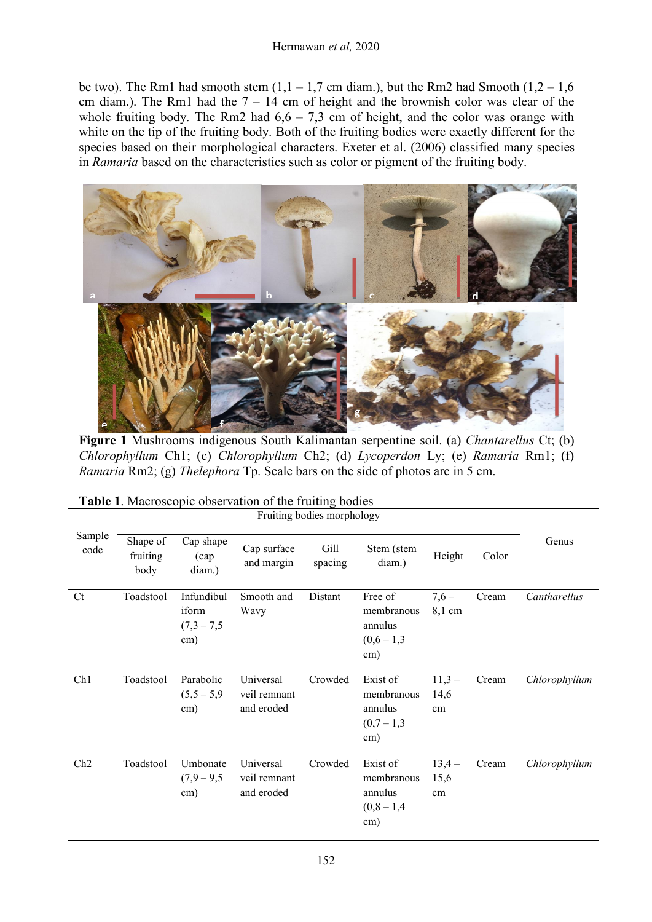#### Hermawan *et al,* 2020

be two). The Rm1 had smooth stem  $(1,1 - 1,7)$  cm diam.), but the Rm2 had Smooth  $(1,2 - 1,6)$ cm diam.). The Rm1 had the  $7 - 14$  cm of height and the brownish color was clear of the whole fruiting body. The Rm2 had  $6,6 - 7,3$  cm of height, and the color was orange with white on the tip of the fruiting body. Both of the fruiting bodies were exactly different for the species based on their morphological characters. Exeter et al. (2006) classified many species in *Ramaria* based on the characteristics such as color or pigment of the fruiting body.



**Figure 1** Mushrooms indigenous South Kalimantan serpentine soil. (a) *Chantarellus* Ct; (b) *Chlorophyllum* Ch1; (c) *Chlorophyllum* Ch2; (d) *Lycoperdon* Ly; (e) *Ramaria* Rm1; (f) *Ramaria* Rm2; (g) *Thelephora* Tp. Scale bars on the side of photos are in 5 cm.

| Sample<br>code | Shape of<br>fruiting<br>body | Cap shape<br>$\left(\text{cap}\right)$<br>diam.) | Cap surface<br>and margin               | Gill<br>spacing | Stem (stem<br>diam.)                                    | Height                | Color | Genus         |  |
|----------------|------------------------------|--------------------------------------------------|-----------------------------------------|-----------------|---------------------------------------------------------|-----------------------|-------|---------------|--|
| <b>Ct</b>      | Toadstool                    | Infundibul<br>iform<br>$(7,3 - 7,5)$<br>cm)      | Smooth and<br>Wavy                      | Distant         | Free of<br>membranous<br>annulus<br>$(0,6-1,3)$<br>cm)  | $7,6-$<br>$8,1$ cm    | Cream | Cantharellus  |  |
| Ch1            | Toadstool                    | Parabolic<br>$(5,5-5,9)$<br>cm)                  | Universal<br>veil remnant<br>and eroded | Crowded         | Exist of<br>membranous<br>annulus<br>$(0,7-1,3)$<br>cm) | $11,3-$<br>14,6<br>cm | Cream | Chlorophyllum |  |
| Ch2            | Toadstool                    | Umbonate<br>$(7,9 - 9,5)$<br>cm)                 | Universal<br>veil remnant<br>and eroded | Crowded         | Exist of<br>membranous<br>annulus<br>$(0,8-1,4)$<br>cm) | $13,4-$<br>15,6<br>cm | Cream | Chlorophyllum |  |

|  |  |  |  |  |  | Table 1. Macroscopic observation of the fruiting bodies |  |  |  |  |  |
|--|--|--|--|--|--|---------------------------------------------------------|--|--|--|--|--|
|--|--|--|--|--|--|---------------------------------------------------------|--|--|--|--|--|

Fruiting bodies morphology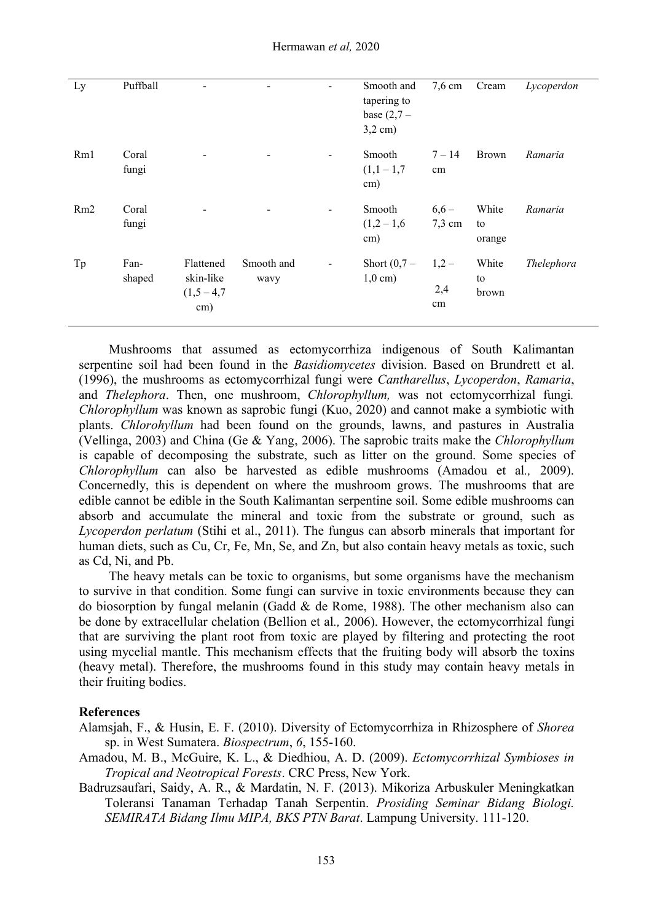| Ly  | Puffball | $\blacksquare$           |            | Ξ.             | Smooth and               | $7,6$ cm | Cream        | Lycoperdon |
|-----|----------|--------------------------|------------|----------------|--------------------------|----------|--------------|------------|
|     |          |                          |            |                | tapering to              |          |              |            |
|     |          |                          |            |                | base $(2,7 -$            |          |              |            |
|     |          |                          |            |                | $3,2$ cm)                |          |              |            |
| Rm1 | Coral    |                          |            | $\blacksquare$ | Smooth                   | $7 - 14$ | <b>Brown</b> | Ramaria    |
|     | fungi    |                          |            |                | $(1,1-1,7)$<br>cm)       | $\rm cm$ |              |            |
| Rm2 | Coral    | $\overline{\phantom{a}}$ |            | $\sim$         | Smooth                   | $6,6-$   | White        | Ramaria    |
|     | fungi    |                          |            |                | $(1,2-1,6$ 7,3 cm<br>cm) |          | to<br>orange |            |
| Tp  | Fan-     | Flattened                | Smooth and | $\blacksquare$ | Short $(0,7 -$           | $1,2-$   | White        | Thelephora |
|     | shaped   | skin-like                | wavy       |                | $1,0 \text{ cm}$ )       |          | to           |            |
|     |          | $(1,5-4,7)$              |            |                |                          | 2,4      | brown        |            |
|     |          | cm)                      |            |                |                          | cm       |              |            |
|     |          |                          |            |                |                          |          |              |            |

Mushrooms that assumed as ectomycorrhiza indigenous of South Kalimantan serpentine soil had been found in the *Basidiomycetes* division. Based on Brundrett et al. (1996), the mushrooms as ectomycorrhizal fungi were *Cantharellus*, *Lycoperdon*, *Ramaria*, and *Thelephora*. Then, one mushroom, *Chlorophyllum,* was not ectomycorrhizal fungi*. Chlorophyllum* was known as saprobic fungi (Kuo, 2020) and cannot make a symbiotic with plants. *Chlorohyllum* had been found on the grounds, lawns, and pastures in Australia (Vellinga, 2003) and China (Ge & Yang, 2006). The saprobic traits make the *Chlorophyllum* is capable of decomposing the substrate, such as litter on the ground. Some species of *Chlorophyllum* can also be harvested as edible mushrooms (Amadou et al*.,* 2009). Concernedly, this is dependent on where the mushroom grows. The mushrooms that are edible cannot be edible in the South Kalimantan serpentine soil. Some edible mushrooms can absorb and accumulate the mineral and toxic from the substrate or ground, such as *Lycoperdon perlatum* (Stihi et al., 2011). The fungus can absorb minerals that important for human diets, such as Cu, Cr, Fe, Mn, Se, and Zn, but also contain heavy metals as toxic, such as Cd, Ni, and Pb.

The heavy metals can be toxic to organisms, but some organisms have the mechanism to survive in that condition. Some fungi can survive in toxic environments because they can do biosorption by fungal melanin (Gadd  $\&$  de Rome, 1988). The other mechanism also can be done by extracellular chelation (Bellion et al*.,* 2006). However, the ectomycorrhizal fungi that are surviving the plant root from toxic are played by filtering and protecting the root using mycelial mantle. This mechanism effects that the fruiting body will absorb the toxins (heavy metal). Therefore, the mushrooms found in this study may contain heavy metals in their fruiting bodies.

#### **References**

- Alamsjah, F., & Husin, E. F. (2010). Diversity of Ectomycorrhiza in Rhizosphere of *Shorea* sp. in West Sumatera. *Biospectrum*, *6*, 155-160.
- Amadou, M. B., McGuire, K. L., & Diedhiou, A. D. (2009). *Ectomycorrhizal Symbioses in Tropical and Neotropical Forests*. CRC Press, New York.
- Badruzsaufari, Saidy, A. R., & Mardatin, N. F. (2013). Mikoriza Arbuskuler Meningkatkan Toleransi Tanaman Terhadap Tanah Serpentin. *Prosiding Seminar Bidang Biologi. SEMIRATA Bidang Ilmu MIPA, BKS PTN Barat*. Lampung University. 111-120.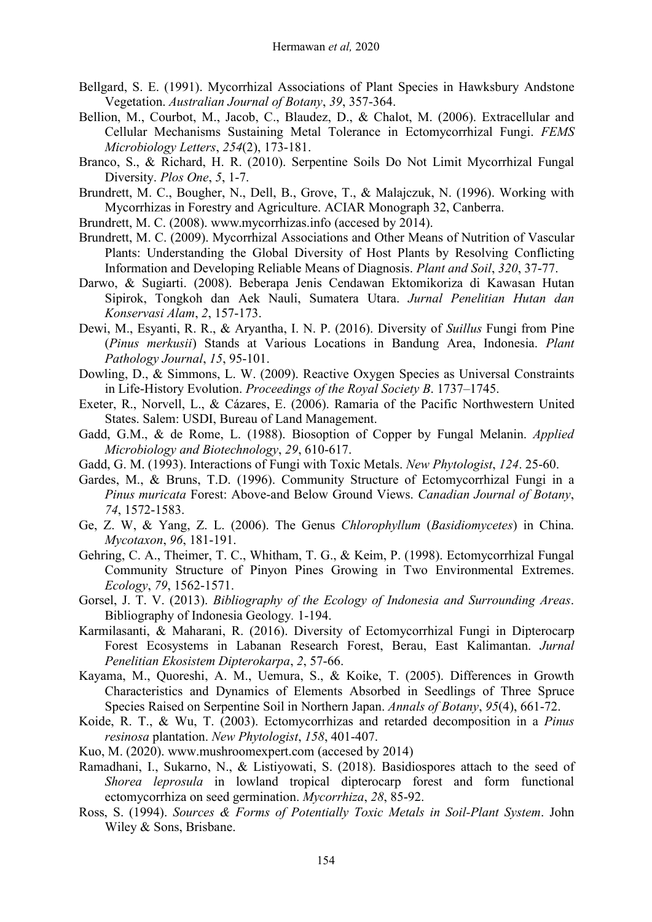- Bellgard, S. E. (1991). Mycorrhizal Associations of Plant Species in Hawksbury Andstone Vegetation. *Australian Journal of Botany*, *39*, 357-364.
- Bellion, M., Courbot, M., Jacob, C., Blaudez, D., & Chalot, M. (2006). Extracellular and Cellular Mechanisms Sustaining Metal Tolerance in Ectomycorrhizal Fungi. *FEMS Microbiology Letters*, *254*(2), 173-181.
- Branco, S., & Richard, H. R. (2010). Serpentine Soils Do Not Limit Mycorrhizal Fungal Diversity. *Plos One*, *5*, 1-7.
- Brundrett, M. C., Bougher, N., Dell, B., Grove, T., & Malajczuk, N. (1996). Working with Mycorrhizas in Forestry and Agriculture. ACIAR Monograph 32, Canberra.
- Brundrett, M. C. (2008). www.mycorrhizas.info (accesed by 2014).
- Brundrett, M. C. (2009). Mycorrhizal Associations and Other Means of Nutrition of Vascular Plants: Understanding the Global Diversity of Host Plants by Resolving Conflicting Information and Developing Reliable Means of Diagnosis. *Plant and Soil*, 320, 37-77.
- Darwo, & Sugiarti. (2008). Beberapa Jenis Cendawan Ektomikoriza di Kawasan Hutan Sipirok, Tongkoh dan Aek Nauli, Sumatera Utara. *Jurnal Penelitian Hutan dan Konservasi Alam*, *2*, 157-173.
- Dewi, M., Esyanti, R. R., & Aryantha, I. N. P. (2016). Diversity of *Suillus* Fungi from Pine (*Pinus merkusii*) Stands at Various Locations in Bandung Area, Indonesia. *Plant Pathology Journal*, *15*, 95-101.
- Dowling, D., & Simmons, L. W. (2009). Reactive Oxygen Species as Universal Constraints in Life-History Evolution. *Proceedings of the Royal Society B*. 1737–1745.
- Exeter, R., Norvell, L., & Cázares, E. (2006). Ramaria of the Pacific Northwestern United States. Salem: USDI, Bureau of Land Management.
- Gadd, G.M., & de Rome, L. (1988). Biosoption of Copper by Fungal Melanin. *Applied Microbiology and Biotechnology*, *29*, 610-617.
- Gadd, G. M. (1993). Interactions of Fungi with Toxic Metals. *New Phytologist*, 124. 25-60.
- Gardes, M., & Bruns, T.D. (1996). Community Structure of Ectomycorrhizal Fungi in a *Pinus muricata* Forest: Above-and Below Ground Views. *Canadian Journal of Botany*, *74*, 1572-1583.
- Ge, Z. W, & Yang, Z. L. (2006). The Genus *Chlorophyllum* (*Basidiomycetes*) in China. *Mycotaxon*, *96*, 181-191.
- Gehring, C. A., Theimer, T. C., Whitham, T. G., & Keim, P. (1998). Ectomycorrhizal Fungal Community Structure of Pinyon Pines Growing in Two Environmental Extremes. *Ecology*, *79*, 1562-1571.
- Gorsel, J. T. V. (2013). *Bibliography of the Ecology of Indonesia and Surrounding Areas*. Bibliography of Indonesia Geology*.* 1-194.
- Karmilasanti, & Maharani, R. (2016). Diversity of Ectomycorrhizal Fungi in Dipterocarp Forest Ecosystems in Labanan Research Forest, Berau, East Kalimantan. *Jurnal Penelitian Ekosistem Dipterokarpa*, *2*, 57-66.
- Kayama, M., Quoreshi, A. M., Uemura, S., & Koike, T. (2005). Differences in Growth Characteristics and Dynamics of Elements Absorbed in Seedlings of Three Spruce Species Raised on Serpentine Soil in Northern Japan. *Annals of Botany*, *95*(4), 661-72.
- Koide, R. T., & Wu, T. (2003). Ectomycorrhizas and retarded decomposition in a *Pinus resinosa* plantation. *New Phytologist*, *158*, 401-407.
- Kuo, M. (2020). [www.mushroomexpert.com](http://www.mushroomexpert.com) (accesed by 2014)
- Ramadhani, I., Sukarno, N., & Listiyowati, S. (2018). Basidiospores attach to the seed of *Shorea leprosula* in lowland tropical dipterocarp forest and form functional ectomycorrhiza on seed germination. *Mycorrhiza*, *28*, 85-92.
- Ross, S. (1994). *Sources & Forms of Potentially Toxic Metals in Soil-Plant System*. John Wiley & Sons, Brisbane.